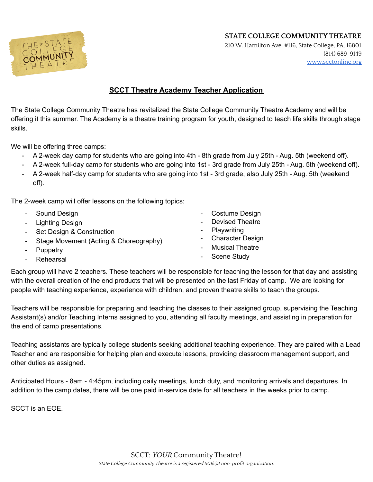**STATE COLLEGE COMMUNITY THEATRE**



210 W. Hamilton Ave. #116, State College, PA, 16801 (814) 689-9149 [www.scctonline.org](http://www.scctonline.org)

## **SCCT Theatre Academy Teacher Application**

The State College Community Theatre has revitalized the State College Community Theatre Academy and will be offering it this summer. The Academy is a theatre training program for youth, designed to teach life skills through stage skills.

We will be offering three camps:

- A 2-week day camp for students who are going into 4th 8th grade from July 25th Aug. 5th (weekend off).
- A 2-week full-day camp for students who are going into 1st 3rd grade from July 25th Aug. 5th (weekend off).
- A 2-week half-day camp for students who are going into 1st 3rd grade, also July 25th Aug. 5th (weekend off).

The 2-week camp will offer lessons on the following topics:

- Sound Design
- Lighting Design
- Set Design & Construction
- Stage Movement (Acting & Choreography)
- Puppetry
- Rehearsal
- Costume Design
- Devised Theatre
- Playwriting
- Character Design
- **Musical Theatre**
- Scene Study

Each group will have 2 teachers. These teachers will be responsible for teaching the lesson for that day and assisting with the overall creation of the end products that will be presented on the last Friday of camp. We are looking for people with teaching experience, experience with children, and proven theatre skills to teach the groups.

Teachers will be responsible for preparing and teaching the classes to their assigned group, supervising the Teaching Assistant(s) and/or Teaching Interns assigned to you, attending all faculty meetings, and assisting in preparation for the end of camp presentations.

Teaching assistants are typically college students seeking additional teaching experience. They are paired with a Lead Teacher and are responsible for helping plan and execute lessons, providing classroom management support, and other duties as assigned.

Anticipated Hours - 8am - 4:45pm, including daily meetings, lunch duty, and monitoring arrivals and departures. In addition to the camp dates, there will be one paid in-service date for all teachers in the weeks prior to camp.

SCCT is an EOE.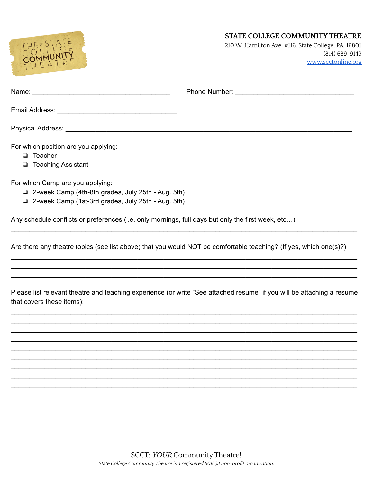



210 W. Hamilton Ave. #116, State College, PA, 16801 (814) 689-9149 [www.scctonline.org](http://www.scctonline.org)

| For which position are you applying:<br>Teacher<br>$\Box$ Teaching Assistant                                                                               |  |
|------------------------------------------------------------------------------------------------------------------------------------------------------------|--|
| For which Camp are you applying:<br>$\Box$ 2-week Camp (4th-8th grades, July 25th - Aug. 5th)<br>$\Box$ 2-week Camp (1st-3rd grades, July 25th - Aug. 5th) |  |

Any schedule conflicts or preferences (i.e. only mornings, full days but only the first week, etc…)

Are there any theatre topics (see list above) that you would NOT be comfortable teaching? (If yes, which one(s)?)

 $\mathcal{L}_\mathcal{L} = \{ \mathcal{L}_\mathcal{L} = \{ \mathcal{L}_\mathcal{L} = \{ \mathcal{L}_\mathcal{L} = \{ \mathcal{L}_\mathcal{L} = \{ \mathcal{L}_\mathcal{L} = \{ \mathcal{L}_\mathcal{L} = \{ \mathcal{L}_\mathcal{L} = \{ \mathcal{L}_\mathcal{L} = \{ \mathcal{L}_\mathcal{L} = \{ \mathcal{L}_\mathcal{L} = \{ \mathcal{L}_\mathcal{L} = \{ \mathcal{L}_\mathcal{L} = \{ \mathcal{L}_\mathcal{L} = \{ \mathcal{L}_\mathcal{$ 

 $\mathcal{L}_\mathcal{L} = \{ \mathcal{L}_\mathcal{L} = \{ \mathcal{L}_\mathcal{L} = \{ \mathcal{L}_\mathcal{L} = \{ \mathcal{L}_\mathcal{L} = \{ \mathcal{L}_\mathcal{L} = \{ \mathcal{L}_\mathcal{L} = \{ \mathcal{L}_\mathcal{L} = \{ \mathcal{L}_\mathcal{L} = \{ \mathcal{L}_\mathcal{L} = \{ \mathcal{L}_\mathcal{L} = \{ \mathcal{L}_\mathcal{L} = \{ \mathcal{L}_\mathcal{L} = \{ \mathcal{L}_\mathcal{L} = \{ \mathcal{L}_\mathcal{$  $\mathcal{L}_\mathcal{L} = \{ \mathcal{L}_\mathcal{L} = \{ \mathcal{L}_\mathcal{L} = \{ \mathcal{L}_\mathcal{L} = \{ \mathcal{L}_\mathcal{L} = \{ \mathcal{L}_\mathcal{L} = \{ \mathcal{L}_\mathcal{L} = \{ \mathcal{L}_\mathcal{L} = \{ \mathcal{L}_\mathcal{L} = \{ \mathcal{L}_\mathcal{L} = \{ \mathcal{L}_\mathcal{L} = \{ \mathcal{L}_\mathcal{L} = \{ \mathcal{L}_\mathcal{L} = \{ \mathcal{L}_\mathcal{L} = \{ \mathcal{L}_\mathcal{$  $\mathcal{L}_\mathcal{L} = \{ \mathcal{L}_\mathcal{L} = \{ \mathcal{L}_\mathcal{L} = \{ \mathcal{L}_\mathcal{L} = \{ \mathcal{L}_\mathcal{L} = \{ \mathcal{L}_\mathcal{L} = \{ \mathcal{L}_\mathcal{L} = \{ \mathcal{L}_\mathcal{L} = \{ \mathcal{L}_\mathcal{L} = \{ \mathcal{L}_\mathcal{L} = \{ \mathcal{L}_\mathcal{L} = \{ \mathcal{L}_\mathcal{L} = \{ \mathcal{L}_\mathcal{L} = \{ \mathcal{L}_\mathcal{L} = \{ \mathcal{L}_\mathcal{$ 

Please list relevant theatre and teaching experience (or write "See attached resume" if you will be attaching a resume that covers these items):

 $\mathcal{L}_\mathcal{L} = \{ \mathcal{L}_\mathcal{L} = \{ \mathcal{L}_\mathcal{L} = \{ \mathcal{L}_\mathcal{L} = \{ \mathcal{L}_\mathcal{L} = \{ \mathcal{L}_\mathcal{L} = \{ \mathcal{L}_\mathcal{L} = \{ \mathcal{L}_\mathcal{L} = \{ \mathcal{L}_\mathcal{L} = \{ \mathcal{L}_\mathcal{L} = \{ \mathcal{L}_\mathcal{L} = \{ \mathcal{L}_\mathcal{L} = \{ \mathcal{L}_\mathcal{L} = \{ \mathcal{L}_\mathcal{L} = \{ \mathcal{L}_\mathcal{$  $\mathcal{L}_\mathcal{L} = \{ \mathcal{L}_\mathcal{L} = \{ \mathcal{L}_\mathcal{L} = \{ \mathcal{L}_\mathcal{L} = \{ \mathcal{L}_\mathcal{L} = \{ \mathcal{L}_\mathcal{L} = \{ \mathcal{L}_\mathcal{L} = \{ \mathcal{L}_\mathcal{L} = \{ \mathcal{L}_\mathcal{L} = \{ \mathcal{L}_\mathcal{L} = \{ \mathcal{L}_\mathcal{L} = \{ \mathcal{L}_\mathcal{L} = \{ \mathcal{L}_\mathcal{L} = \{ \mathcal{L}_\mathcal{L} = \{ \mathcal{L}_\mathcal{$  $\mathcal{L}_\mathcal{L} = \{ \mathcal{L}_\mathcal{L} = \{ \mathcal{L}_\mathcal{L} = \{ \mathcal{L}_\mathcal{L} = \{ \mathcal{L}_\mathcal{L} = \{ \mathcal{L}_\mathcal{L} = \{ \mathcal{L}_\mathcal{L} = \{ \mathcal{L}_\mathcal{L} = \{ \mathcal{L}_\mathcal{L} = \{ \mathcal{L}_\mathcal{L} = \{ \mathcal{L}_\mathcal{L} = \{ \mathcal{L}_\mathcal{L} = \{ \mathcal{L}_\mathcal{L} = \{ \mathcal{L}_\mathcal{L} = \{ \mathcal{L}_\mathcal{$  $\mathcal{L}_\mathcal{L} = \{ \mathcal{L}_\mathcal{L} = \{ \mathcal{L}_\mathcal{L} = \{ \mathcal{L}_\mathcal{L} = \{ \mathcal{L}_\mathcal{L} = \{ \mathcal{L}_\mathcal{L} = \{ \mathcal{L}_\mathcal{L} = \{ \mathcal{L}_\mathcal{L} = \{ \mathcal{L}_\mathcal{L} = \{ \mathcal{L}_\mathcal{L} = \{ \mathcal{L}_\mathcal{L} = \{ \mathcal{L}_\mathcal{L} = \{ \mathcal{L}_\mathcal{L} = \{ \mathcal{L}_\mathcal{L} = \{ \mathcal{L}_\mathcal{$  $\mathcal{L}_\mathcal{L} = \{ \mathcal{L}_\mathcal{L} = \{ \mathcal{L}_\mathcal{L} = \{ \mathcal{L}_\mathcal{L} = \{ \mathcal{L}_\mathcal{L} = \{ \mathcal{L}_\mathcal{L} = \{ \mathcal{L}_\mathcal{L} = \{ \mathcal{L}_\mathcal{L} = \{ \mathcal{L}_\mathcal{L} = \{ \mathcal{L}_\mathcal{L} = \{ \mathcal{L}_\mathcal{L} = \{ \mathcal{L}_\mathcal{L} = \{ \mathcal{L}_\mathcal{L} = \{ \mathcal{L}_\mathcal{L} = \{ \mathcal{L}_\mathcal{$  $\mathcal{L}_\mathcal{L} = \{ \mathcal{L}_\mathcal{L} = \{ \mathcal{L}_\mathcal{L} = \{ \mathcal{L}_\mathcal{L} = \{ \mathcal{L}_\mathcal{L} = \{ \mathcal{L}_\mathcal{L} = \{ \mathcal{L}_\mathcal{L} = \{ \mathcal{L}_\mathcal{L} = \{ \mathcal{L}_\mathcal{L} = \{ \mathcal{L}_\mathcal{L} = \{ \mathcal{L}_\mathcal{L} = \{ \mathcal{L}_\mathcal{L} = \{ \mathcal{L}_\mathcal{L} = \{ \mathcal{L}_\mathcal{L} = \{ \mathcal{L}_\mathcal{$  $\mathcal{L}_\mathcal{L} = \{ \mathcal{L}_\mathcal{L} = \{ \mathcal{L}_\mathcal{L} = \{ \mathcal{L}_\mathcal{L} = \{ \mathcal{L}_\mathcal{L} = \{ \mathcal{L}_\mathcal{L} = \{ \mathcal{L}_\mathcal{L} = \{ \mathcal{L}_\mathcal{L} = \{ \mathcal{L}_\mathcal{L} = \{ \mathcal{L}_\mathcal{L} = \{ \mathcal{L}_\mathcal{L} = \{ \mathcal{L}_\mathcal{L} = \{ \mathcal{L}_\mathcal{L} = \{ \mathcal{L}_\mathcal{L} = \{ \mathcal{L}_\mathcal{$  $\mathcal{L}_\mathcal{L} = \{ \mathcal{L}_\mathcal{L} = \{ \mathcal{L}_\mathcal{L} = \{ \mathcal{L}_\mathcal{L} = \{ \mathcal{L}_\mathcal{L} = \{ \mathcal{L}_\mathcal{L} = \{ \mathcal{L}_\mathcal{L} = \{ \mathcal{L}_\mathcal{L} = \{ \mathcal{L}_\mathcal{L} = \{ \mathcal{L}_\mathcal{L} = \{ \mathcal{L}_\mathcal{L} = \{ \mathcal{L}_\mathcal{L} = \{ \mathcal{L}_\mathcal{L} = \{ \mathcal{L}_\mathcal{L} = \{ \mathcal{L}_\mathcal{$  $\mathcal{L}_\mathcal{L} = \{ \mathcal{L}_\mathcal{L} = \{ \mathcal{L}_\mathcal{L} = \{ \mathcal{L}_\mathcal{L} = \{ \mathcal{L}_\mathcal{L} = \{ \mathcal{L}_\mathcal{L} = \{ \mathcal{L}_\mathcal{L} = \{ \mathcal{L}_\mathcal{L} = \{ \mathcal{L}_\mathcal{L} = \{ \mathcal{L}_\mathcal{L} = \{ \mathcal{L}_\mathcal{L} = \{ \mathcal{L}_\mathcal{L} = \{ \mathcal{L}_\mathcal{L} = \{ \mathcal{L}_\mathcal{L} = \{ \mathcal{L}_\mathcal{$